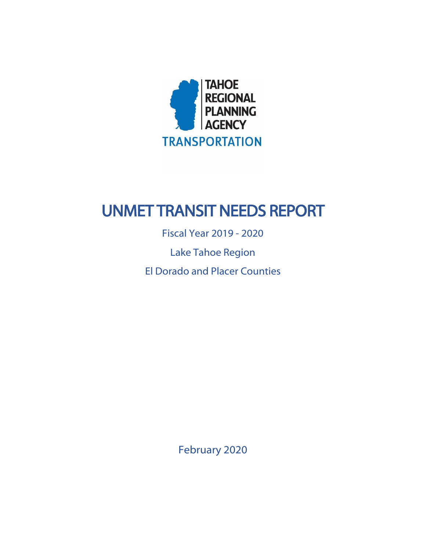

# UNMET TRANSIT NEEDS REPORT

Fiscal Year 2019 - 2020 Lake Tahoe Region El Dorado and Placer Counties

February 2020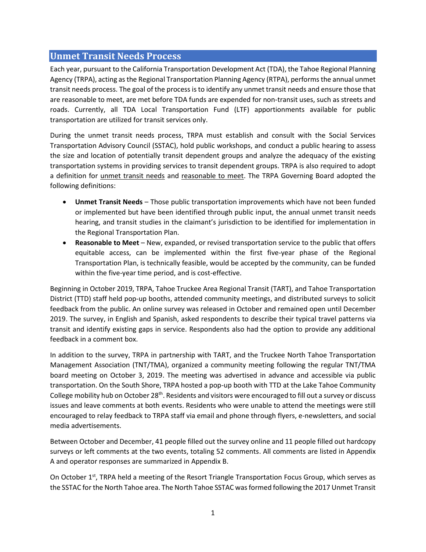# **Unmet Transit Needs Process**

Each year, pursuant to the California Transportation Development Act (TDA), the Tahoe Regional Planning Agency (TRPA), acting as the Regional Transportation Planning Agency (RTPA), performs the annual unmet transit needs process. The goal of the process is to identify any unmet transit needs and ensure those that are reasonable to meet, are met before TDA funds are expended for non-transit uses, such as streets and roads. Currently, all TDA Local Transportation Fund (LTF) apportionments available for public transportation are utilized for transit services only.

During the unmet transit needs process, TRPA must establish and consult with the Social Services Transportation Advisory Council (SSTAC), hold public workshops, and conduct a public hearing to assess the size and location of potentially transit dependent groups and analyze the adequacy of the existing transportation systems in providing services to transit dependent groups. TRPA is also required to adopt a definition for unmet transit needs and reasonable to meet. The TRPA Governing Board adopted the following definitions:

- **Unmet Transit Needs** Those public transportation improvements which have not been funded or implemented but have been identified through public input, the annual unmet transit needs hearing, and transit studies in the claimant's jurisdiction to be identified for implementation in the Regional Transportation Plan.
- **Reasonable to Meet** New, expanded, or revised transportation service to the public that offers equitable access, can be implemented within the first five-year phase of the Regional Transportation Plan, is technically feasible, would be accepted by the community, can be funded within the five-year time period, and is cost-effective.

Beginning in October 2019, TRPA, Tahoe Truckee Area Regional Transit (TART), and Tahoe Transportation District (TTD) staff held pop-up booths, attended community meetings, and distributed surveys to solicit feedback from the public. An online survey was released in October and remained open until December 2019. The survey, in English and Spanish, asked respondents to describe their typical travel patterns via transit and identify existing gaps in service. Respondents also had the option to provide any additional feedback in a comment box.

In addition to the survey, TRPA in partnership with TART, and the Truckee North Tahoe Transportation Management Association (TNT/TMA), organized a community meeting following the regular TNT/TMA board meeting on October 3, 2019. The meeting was advertised in advance and accessible via public transportation. On the South Shore, TRPA hosted a pop-up booth with TTD at the Lake Tahoe Community College mobility hub on October 28th. Residents and visitors were encouraged to fill out a survey or discuss issues and leave comments at both events. Residents who were unable to attend the meetings were still encouraged to relay feedback to TRPA staff via email and phone through flyers, e-newsletters, and social media advertisements.

Between October and December, 41 people filled out the survey online and 11 people filled out hardcopy surveys or left comments at the two events, totaling 52 comments. All comments are listed in Appendix A and operator responses are summarized in Appendix B.

On October 1<sup>st</sup>, TRPA held a meeting of the Resort Triangle Transportation Focus Group, which serves as the SSTAC for the North Tahoe area. The North Tahoe SSTAC was formed following the 2017 Unmet Transit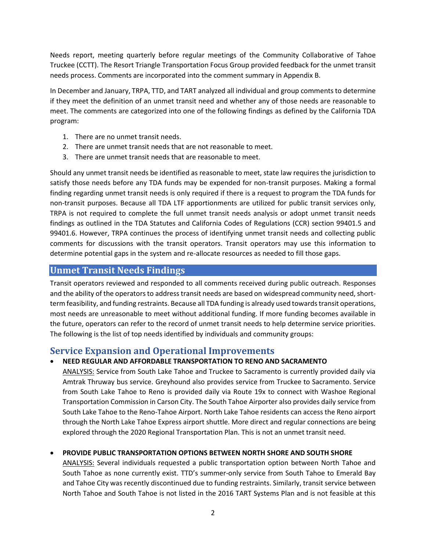Needs report, meeting quarterly before regular meetings of the Community Collaborative of Tahoe Truckee (CCTT). The Resort Triangle Transportation Focus Group provided feedback for the unmet transit needs process. Comments are incorporated into the comment summary in Appendix B.

In December and January, TRPA, TTD, and TART analyzed all individual and group comments to determine if they meet the definition of an unmet transit need and whether any of those needs are reasonable to meet. The comments are categorized into one of the following findings as defined by the California TDA program:

- 1. There are no unmet transit needs.
- 2. There are unmet transit needs that are not reasonable to meet.
- 3. There are unmet transit needs that are reasonable to meet.

Should any unmet transit needs be identified as reasonable to meet, state law requires the jurisdiction to satisfy those needs before any TDA funds may be expended for non-transit purposes. Making a formal finding regarding unmet transit needs is only required if there is a request to program the TDA funds for non-transit purposes. Because all TDA LTF apportionments are utilized for public transit services only, TRPA is not required to complete the full unmet transit needs analysis or adopt unmet transit needs findings as outlined in the TDA Statutes and California Codes of Regulations (CCR) section 99401.5 and 99401.6. However, TRPA continues the process of identifying unmet transit needs and collecting public comments for discussions with the transit operators. Transit operators may use this information to determine potential gaps in the system and re-allocate resources as needed to fill those gaps.

# **Unmet Transit Needs Findings**

Transit operators reviewed and responded to all comments received during public outreach. Responses and the ability of the operators to address transit needs are based on widespread community need, shortterm feasibility, and funding restraints. Because all TDA funding is already used towards transit operations, most needs are unreasonable to meet without additional funding. If more funding becomes available in the future, operators can refer to the record of unmet transit needs to help determine service priorities. The following is the list of top needs identified by individuals and community groups:

## **Service Expansion and Operational Improvements**

## • **NEED REGULAR AND AFFORDABLE TRANSPORTATION TO RENO AND SACRAMENTO**

ANALYSIS: Service from South Lake Tahoe and Truckee to Sacramento is currently provided daily via Amtrak Thruway bus service. Greyhound also provides service from Truckee to Sacramento. Service from South Lake Tahoe to Reno is provided daily via Route 19x to connect with Washoe Regional Transportation Commission in Carson City. The South Tahoe Airporter also provides daily service from South Lake Tahoe to the Reno-Tahoe Airport. North Lake Tahoe residents can access the Reno airport through the North Lake Tahoe Express airport shuttle. More direct and regular connections are being explored through the 2020 Regional Transportation Plan. This is not an unmet transit need.

## • **PROVIDE PUBLIC TRANSPORTATION OPTIONS BETWEEN NORTH SHORE AND SOUTH SHORE**

ANALYSIS: Several individuals requested a public transportation option between North Tahoe and South Tahoe as none currently exist. TTD's summer-only service from South Tahoe to Emerald Bay and Tahoe City was recently discontinued due to funding restraints. Similarly, transit service between North Tahoe and South Tahoe is not listed in the 2016 TART Systems Plan and is not feasible at this